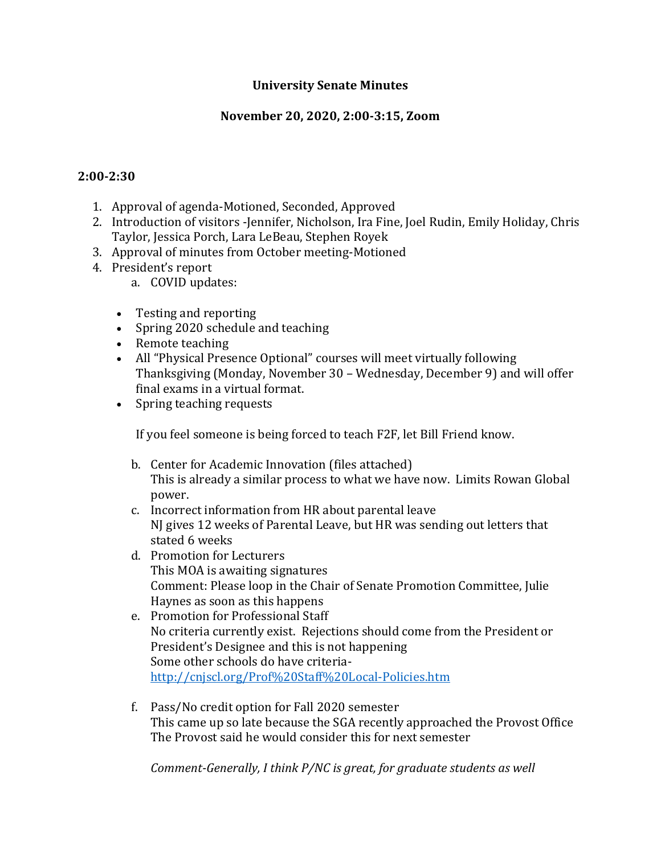## **University Senate Minutes**

### **November 20, 2020, 2:00-3:15, Zoom**

#### **2:00-2:30**

- 1. Approval of agenda-Motioned, Seconded, Approved
- 2. Introduction of visitors -Jennifer, Nicholson, Ira Fine, Joel Rudin, Emily Holiday, Chris Taylor, Jessica Porch, Lara LeBeau, Stephen Royek
- 3. Approval of minutes from October meeting-Motioned
- 4. President's report
	- a. COVID updates:
	- Testing and reporting
	- Spring 2020 schedule and teaching
	- Remote teaching
	- All "Physical Presence Optional" courses will meet virtually following Thanksgiving (Monday, November 30 – Wednesday, December 9) and will offer final exams in a virtual format.
	- Spring teaching requests

If you feel someone is being forced to teach F2F, let Bill Friend know.

- b. Center for Academic Innovation (files attached) This is already a similar process to what we have now. Limits Rowan Global power.
- c. Incorrect information from HR about parental leave NJ gives 12 weeks of Parental Leave, but HR was sending out letters that stated 6 weeks
- d. Promotion for Lecturers This MOA is awaiting signatures Comment: Please loop in the Chair of Senate Promotion Committee, Julie Haynes as soon as this happens
- e. Promotion for Professional Staff No criteria currently exist. Rejections should come from the President or President's Designee and this is not happening Some other schools do have criteria<http://cnjscl.org/Prof%20Staff%20Local-Policies.htm>
- f. Pass/No credit option for Fall 2020 semester This came up so late because the SGA recently approached the Provost Office The Provost said he would consider this for next semester

*Comment-Generally, I think P/NC is great, for graduate students as well*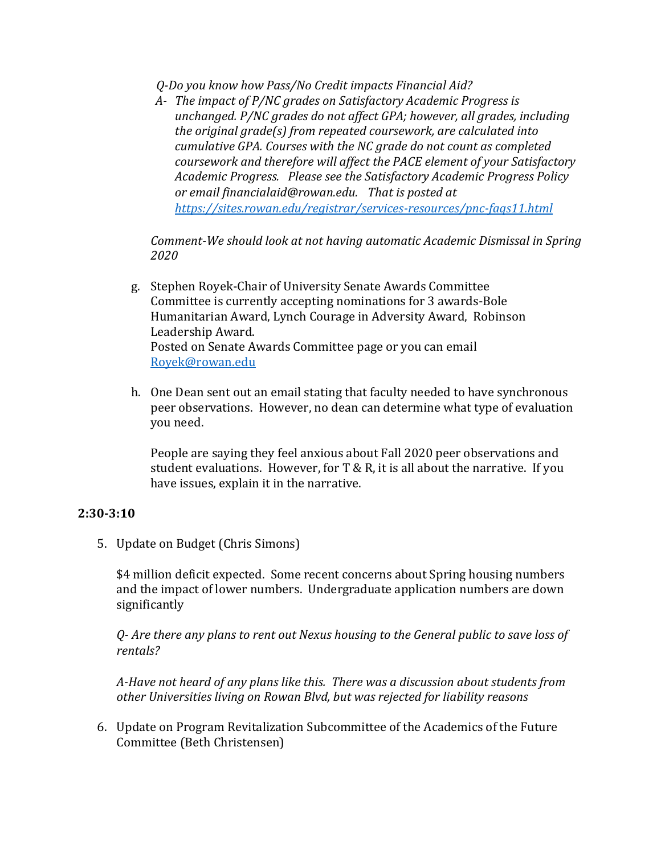*Q-Do you know how Pass/No Credit impacts Financial Aid?*

*A- The impact of P/NC grades on Satisfactory Academic Progress is unchanged. P/NC grades do not affect GPA; however, all grades, including the original grade(s) from repeated coursework, are calculated into cumulative GPA. Courses with the NC grade do not count as completed coursework and therefore will affect the PACE element of your Satisfactory Academic Progress. Please see the Satisfactory Academic Progress Policy or email financialaid@rowan.edu. That is posted at <https://sites.rowan.edu/registrar/services-resources/pnc-faqs11.html>*

*Comment-We should look at not having automatic Academic Dismissal in Spring 2020*

- g. Stephen Royek-Chair of University Senate Awards Committee Committee is currently accepting nominations for 3 awards-Bole Humanitarian Award, Lynch Courage in Adversity Award, Robinson Leadership Award. Posted on Senate Awards Committee page or you can email [Royek@rowan.edu](mailto:Royek@rowan.edu)
- h. One Dean sent out an email stating that faculty needed to have synchronous peer observations. However, no dean can determine what type of evaluation you need.

People are saying they feel anxious about Fall 2020 peer observations and student evaluations. However, for T & R, it is all about the narrative. If you have issues, explain it in the narrative.

#### **2:30-3:10**

5. Update on Budget (Chris Simons)

\$4 million deficit expected. Some recent concerns about Spring housing numbers and the impact of lower numbers. Undergraduate application numbers are down significantly

*Q- Are there any plans to rent out Nexus housing to the General public to save loss of rentals?*

*A-Have not heard of any plans like this. There was a discussion about students from other Universities living on Rowan Blvd, but was rejected for liability reasons* 

6. Update on Program Revitalization Subcommittee of the Academics of the Future Committee (Beth Christensen)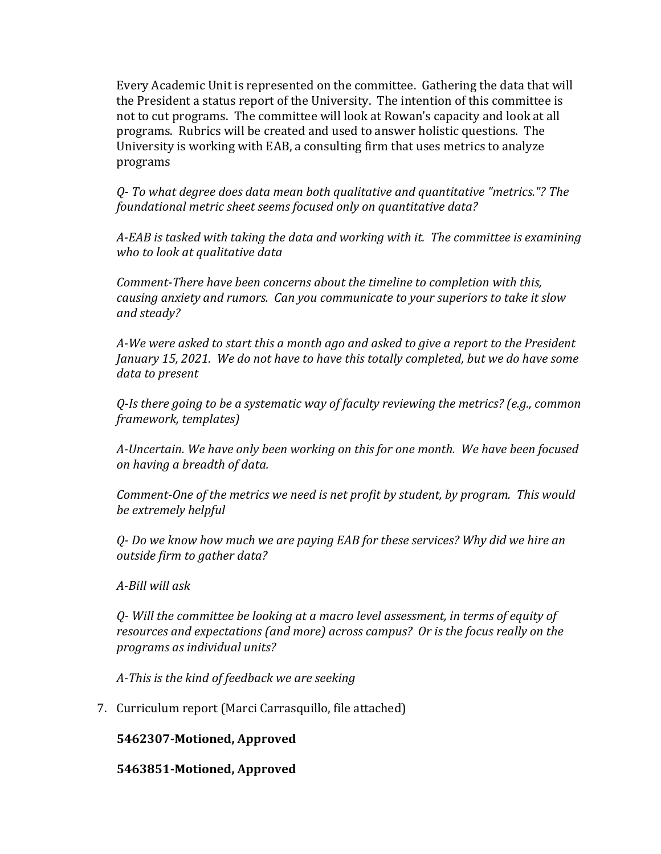Every Academic Unit is represented on the committee. Gathering the data that will the President a status report of the University. The intention of this committee is not to cut programs. The committee will look at Rowan's capacity and look at all programs. Rubrics will be created and used to answer holistic questions. The University is working with EAB, a consulting firm that uses metrics to analyze programs

*Q- To what degree does data mean both qualitative and quantitative "metrics."? The foundational metric sheet seems focused only on quantitative data?*

*A-EAB is tasked with taking the data and working with it. The committee is examining who to look at qualitative data*

*Comment-There have been concerns about the timeline to completion with this, causing anxiety and rumors. Can you communicate to your superiors to take it slow and steady?*

*A-We were asked to start this a month ago and asked to give a report to the President January 15, 2021. We do not have to have this totally completed, but we do have some data to present*

*Q-Is there going to be a systematic way of faculty reviewing the metrics? (e.g., common framework, templates)*

*A-Uncertain. We have only been working on this for one month. We have been focused on having a breadth of data.*

*Comment-One of the metrics we need is net profit by student, by program. This would be extremely helpful*

*Q- Do we know how much we are paying EAB for these services? Why did we hire an outside firm to gather data?*

*A-Bill will ask* 

*Q- Will the committee be looking at a macro level assessment, in terms of equity of resources and expectations (and more) across campus? Or is the focus really on the programs as individual units?*

*A-This is the kind of feedback we are seeking*

7. Curriculum report (Marci Carrasquillo, file attached)

**5462307-Motioned, Approved**

**5463851-Motioned, Approved**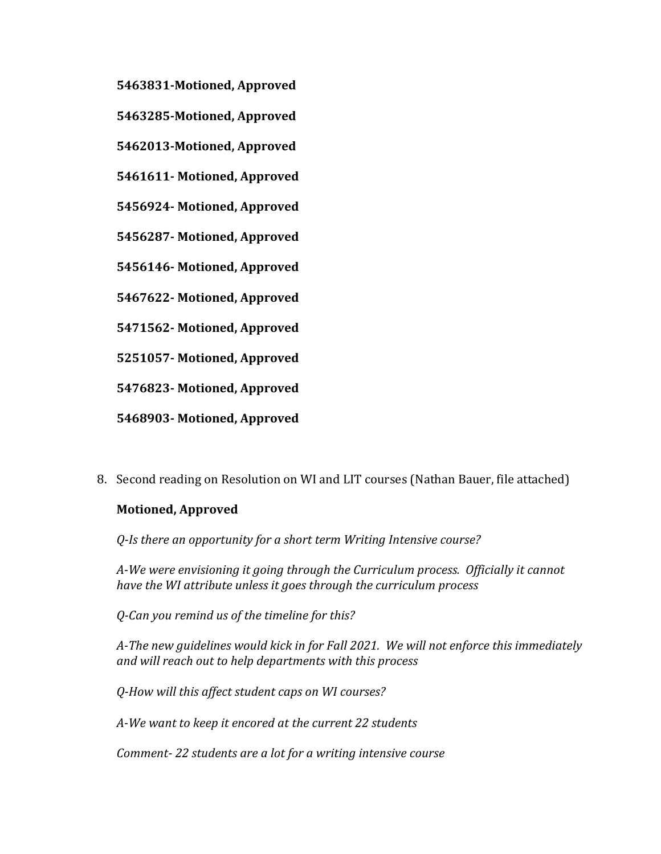- **5463831-Motioned, Approved**
- **5463285-Motioned, Approved**
- **5462013-Motioned, Approved**
- **5461611- Motioned, Approved**
- **5456924- Motioned, Approved**
- **5456287- Motioned, Approved**
- **5456146- Motioned, Approved**
- **5467622- Motioned, Approved**
- **5471562- Motioned, Approved**
- **5251057- Motioned, Approved**
- **5476823- Motioned, Approved**
- **5468903- Motioned, Approved**
- 8. Second reading on Resolution on WI and LIT courses (Nathan Bauer, file attached)

#### **Motioned, Approved**

*Q-Is there an opportunity for a short term Writing Intensive course?*

*A-We were envisioning it going through the Curriculum process. Officially it cannot have the WI attribute unless it goes through the curriculum process*

*Q-Can you remind us of the timeline for this?*

*A-The new guidelines would kick in for Fall 2021. We will not enforce this immediately and will reach out to help departments with this process*

*Q-How will this affect student caps on WI courses?*

*A-We want to keep it encored at the current 22 students*

*Comment- 22 students are a lot for a writing intensive course*